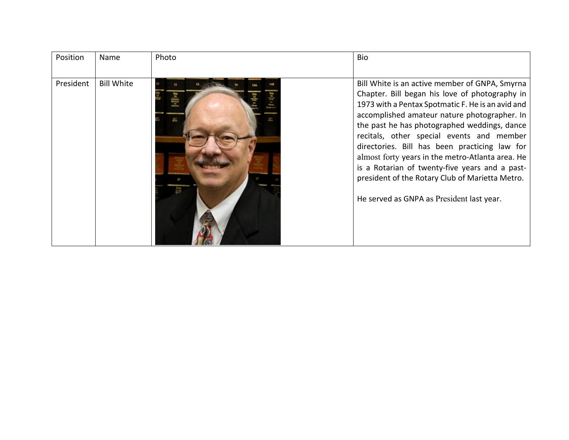| Position  | Name              | Photo | <b>Bio</b>                                                                                                                                                                                                                                                                                                                                                                                                                                                                                                                                                |
|-----------|-------------------|-------|-----------------------------------------------------------------------------------------------------------------------------------------------------------------------------------------------------------------------------------------------------------------------------------------------------------------------------------------------------------------------------------------------------------------------------------------------------------------------------------------------------------------------------------------------------------|
| President | <b>Bill White</b> |       | Bill White is an active member of GNPA, Smyrna<br>Chapter. Bill began his love of photography in<br>1973 with a Pentax Spotmatic F. He is an avid and<br>accomplished amateur nature photographer. In<br>the past he has photographed weddings, dance<br>recitals, other special events and member<br>directories. Bill has been practicing law for<br>almost forty years in the metro-Atlanta area. He<br>is a Rotarian of twenty-five years and a past-<br>president of the Rotary Club of Marietta Metro.<br>He served as GNPA as President last year. |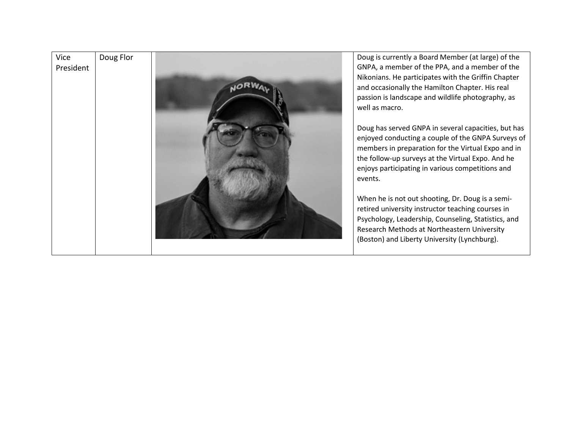

GNPA, a member of the PPA, and a member of the Nikonians. He participates with the Griffin Chapter and occasionally the Hamilton Chapter. His real passion is landscape and wildlife photography, as well as macro.

Doug has served GNPA in several capacities, but has enjoyed conducting a couple of the GNPA Surveys of members in preparation for the Virtual Expo and in the follow -up surveys at the Virtual Expo. And he enjoys participating in various competitions and

When he is not out shooting, Dr. Doug is a semi retired university instructor teaching courses in Psychology, Leadership, Counseling, Statistics, and Research Methods at Northeastern University (Boston) and Liberty University (Lynchburg).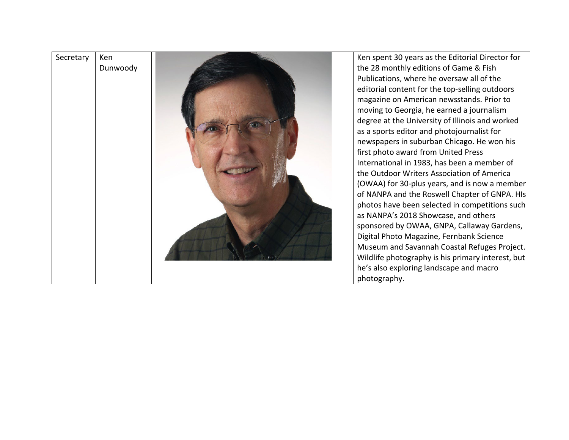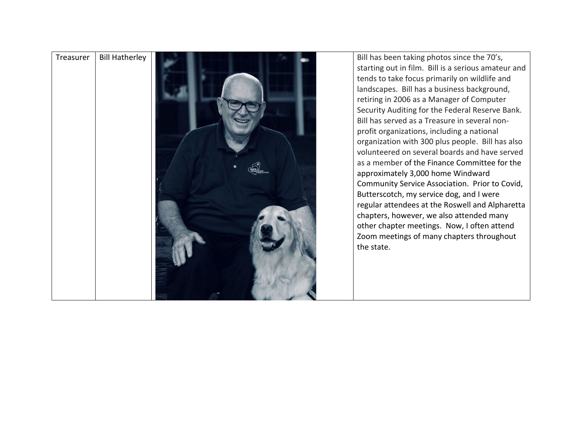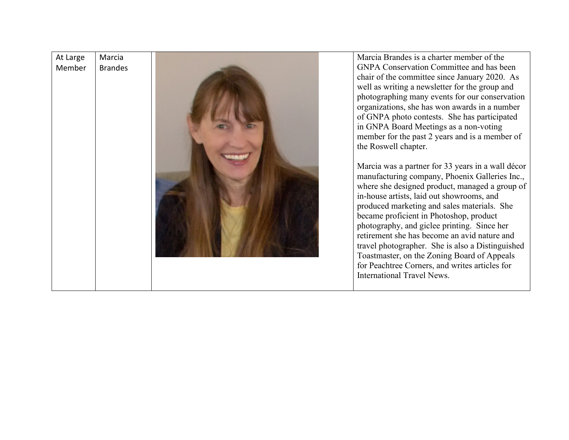| At Large<br>Member | Marcia<br><b>Brandes</b> |  | Marcia Brandes is a charter member of the<br><b>GNPA Conservation Committee and has been</b><br>chair of the committee since January 2020. As<br>well as writing a newsletter for the group and<br>photographing many events for our conservation<br>organizations, she has won awards in a number<br>of GNPA photo contests. She has participated<br>in GNPA Board Meetings as a non-voting<br>member for the past 2 years and is a member of<br>the Roswell chapter.<br>Marcia was a partner for 33 years in a wall décor<br>manufacturing company, Phoenix Galleries Inc.,<br>where she designed product, managed a group of<br>in-house artists, laid out showrooms, and<br>produced marketing and sales materials. She<br>became proficient in Photoshop, product<br>photography, and giclee printing. Since her<br>retirement she has become an avid nature and<br>travel photographer. She is also a Distinguished<br>Toastmaster, on the Zoning Board of Appeals<br>for Peachtree Corners, and writes articles for<br>International Travel News. |
|--------------------|--------------------------|--|----------------------------------------------------------------------------------------------------------------------------------------------------------------------------------------------------------------------------------------------------------------------------------------------------------------------------------------------------------------------------------------------------------------------------------------------------------------------------------------------------------------------------------------------------------------------------------------------------------------------------------------------------------------------------------------------------------------------------------------------------------------------------------------------------------------------------------------------------------------------------------------------------------------------------------------------------------------------------------------------------------------------------------------------------------|
|--------------------|--------------------------|--|----------------------------------------------------------------------------------------------------------------------------------------------------------------------------------------------------------------------------------------------------------------------------------------------------------------------------------------------------------------------------------------------------------------------------------------------------------------------------------------------------------------------------------------------------------------------------------------------------------------------------------------------------------------------------------------------------------------------------------------------------------------------------------------------------------------------------------------------------------------------------------------------------------------------------------------------------------------------------------------------------------------------------------------------------------|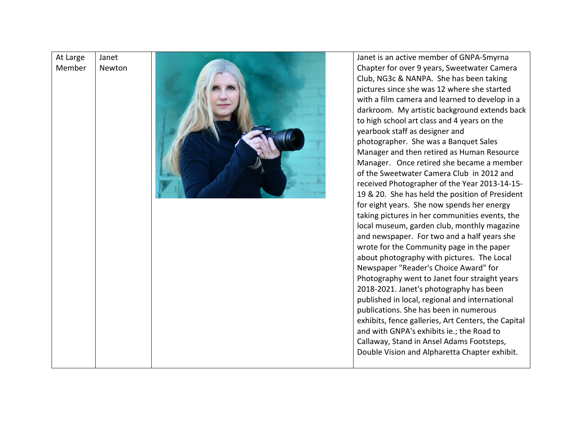## At Large Member Janet Newton



Janet is an active member of GNPA -Smyrna Chapter for over 9 years, Sweetwater Camera Club, NG3c & NANPA. She has been taking pictures since she was 12 where she started with a film camera and learned to develop in a darkroom. My artistic background extends back to high school art class and 4 years on the yearbook staff as designer and photographer. She was a Banquet Sales Manager and then retired as Human Resource Manager. Once retired she became a member of the Sweetwater Camera Club in 2012 and received Photographer of the Year 2013 -14 -15 - 19 & 20. She has held the position of President for eight years. She now spends her energy taking pictures in her communities events, the local museum, garden club, monthly magazine and newspaper. For two and a half years she wrote for the Community page in the paper about photography with pictures. The Local Newspaper "Reader's Choice Award" for Photography went to Janet four straight years 2018 -2021. Janet's photography has been published in local, regional and international publications. She has been in numerous exhibits, fence galleries, Art Centers, the Capital and with GNPA's exhibits ie.; the Road to Callaway, Stand in Ansel Adams Footsteps, Double Vision and Alpharetta Chapter exhibit.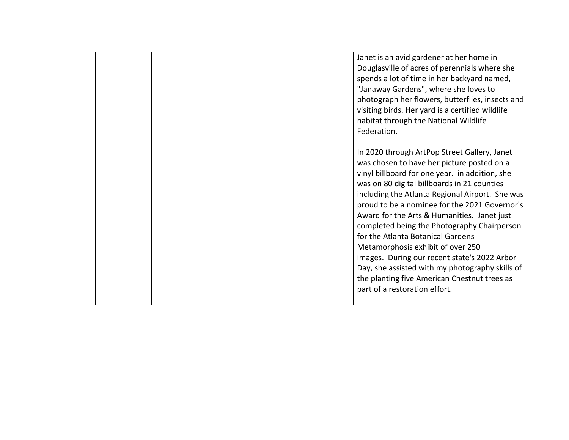|  | Janet is an avid gardener at her home in         |
|--|--------------------------------------------------|
|  | Douglasville of acres of perennials where she    |
|  | spends a lot of time in her backyard named,      |
|  | "Janaway Gardens", where she loves to            |
|  | photograph her flowers, butterflies, insects and |
|  | visiting birds. Her yard is a certified wildlife |
|  | habitat through the National Wildlife            |
|  | Federation.                                      |
|  |                                                  |
|  | In 2020 through ArtPop Street Gallery, Janet     |
|  | was chosen to have her picture posted on a       |
|  | vinyl billboard for one year. in addition, she   |
|  | was on 80 digital billboards in 21 counties      |
|  | including the Atlanta Regional Airport. She was  |
|  | proud to be a nominee for the 2021 Governor's    |
|  | Award for the Arts & Humanities. Janet just      |
|  | completed being the Photography Chairperson      |
|  | for the Atlanta Botanical Gardens                |
|  | Metamorphosis exhibit of over 250                |
|  | images. During our recent state's 2022 Arbor     |
|  | Day, she assisted with my photography skills of  |
|  | the planting five American Chestnut trees as     |
|  | part of a restoration effort.                    |
|  |                                                  |
|  |                                                  |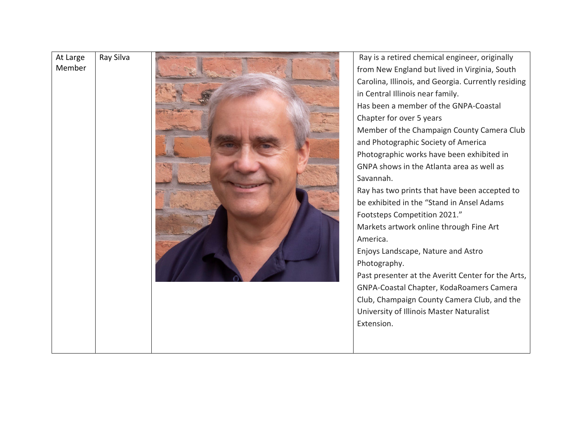| At Large<br>Member | Ray Silva | Ray is a retired chemical engineer, originally<br>from New England but lived in Virginia, South<br>Carolina, Illinois, and Georgia. Currently residing<br>in Central Illinois near family.<br>Has been a member of the GNPA-Coastal<br>Chapter for over 5 years<br>Member of the Champaign County Camera Club<br>and Photographic Society of America<br>Photographic works have been exhibited in<br>GNPA shows in the Atlanta area as well as<br>Savannah.<br>Ray has two prints that have been accepted to<br>be exhibited in the "Stand in Ansel Adams<br>Footsteps Competition 2021."<br>Markets artwork online through Fine Art<br>America.<br>Enjoys Landscape, Nature and Astro<br>Photography.<br>Past presenter at the Averitt Center for the Arts,<br>GNPA-Coastal Chapter, KodaRoamers Camera<br>Club, Champaign County Camera Club, and the<br>University of Illinois Master Naturalist<br>Extension. |
|--------------------|-----------|-------------------------------------------------------------------------------------------------------------------------------------------------------------------------------------------------------------------------------------------------------------------------------------------------------------------------------------------------------------------------------------------------------------------------------------------------------------------------------------------------------------------------------------------------------------------------------------------------------------------------------------------------------------------------------------------------------------------------------------------------------------------------------------------------------------------------------------------------------------------------------------------------------------------|
|                    |           |                                                                                                                                                                                                                                                                                                                                                                                                                                                                                                                                                                                                                                                                                                                                                                                                                                                                                                                   |